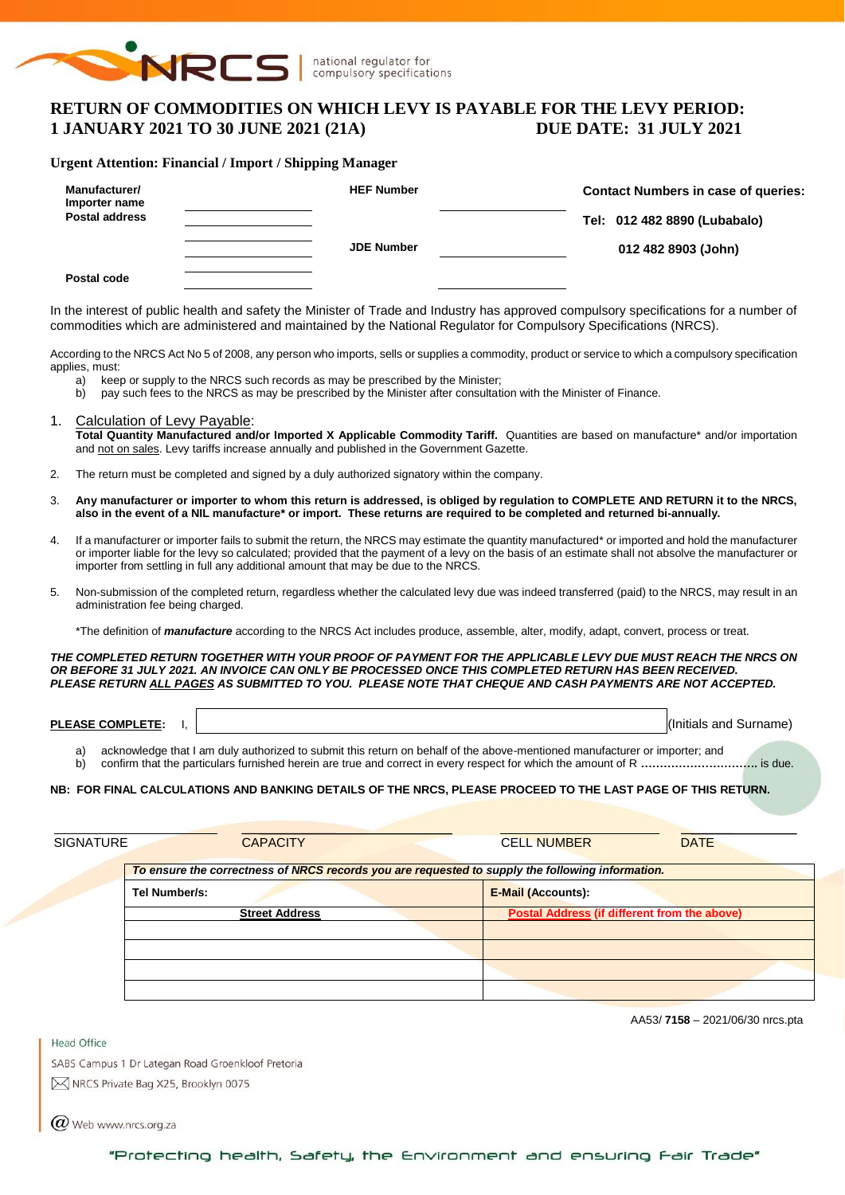

# **RETURN OF COMMODITIES ON WHICH LEVY IS PAYABLE FOR THE LEVY PERIOD: 1 JANUARY 2021 TO 30 JUNE 2021 (21A) DUE DATE: 31 JULY 2021**

#### **Urgent Attention: Financial / Import / Shipping Manager**

| Manufacturer/<br>Importer name<br><b>Postal address</b> | <b>HEF Number</b> | <b>Contact Numbers in case of queries:</b><br>Tel: 012 482 8890 (Lubabalo) |
|---------------------------------------------------------|-------------------|----------------------------------------------------------------------------|
|                                                         | <b>JDE Number</b> | 012 482 8903 (John)                                                        |
| Postal code                                             |                   |                                                                            |

In the interest of public health and safety the Minister of Trade and Industry has approved compulsory specifications for a number of commodities which are administered and maintained by the National Regulator for Compulsory Specifications (NRCS).

According to the NRCS Act No 5 of 2008, any person who imports, sells or supplies a commodity, product or service to which a compulsory specification applies, must:

- a) keep or supply to the NRCS such records as may be prescribed by the Minister;<br>b) pay such fees to the NRCS as may be prescribed by the Minister after consultation
- pay such fees to the NRCS as may be prescribed by the Minister after consultation with the Minister of Finance.
- 1. Calculation of Levy Payable: Total Quantity Manufactured and/or Imported X Applicable Commodity Tariff. Quantities are based on manufacture<sup>\*</sup> and/or importation and not on sales. Levy tariffs increase annually and published in the Government Gazette.
- 2. The return must be completed and signed by a duly authorized signatory within the company.
- 3. **Any manufacturer or importer to whom this return is addressed, is obliged by regulation to COMPLETE AND RETURN it to the NRCS, also in the event of a NIL manufacture\* or import. These returns are required to be completed and returned bi-annually.**
- 4. If a manufacturer or importer fails to submit the return, the NRCS may estimate the quantity manufactured\* or imported and hold the manufacturer or importer liable for the levy so calculated; provided that the payment of a levy on the basis of an estimate shall not absolve the manufacturer or importer from settling in full any additional amount that may be due to the NRCS.
- 5. Non-submission of the completed return, regardless whether the calculated levy due was indeed transferred (paid) to the NRCS, may result in an administration fee being charged.

\*The definition of *manufacture* according to the NRCS Act includes produce, assemble, alter, modify, adapt, convert, process or treat.

*THE COMPLETED RETURN TOGETHER WITH YOUR PROOF OF PAYMENT FOR THE APPLICABLE LEVY DUE MUST REACH THE NRCS ON OR BEFORE 31 JULY 2021. AN INVOICE CAN ONLY BE PROCESSED ONCE THIS COMPLETED RETURN HAS BEEN RECEIVED. PLEASE RETURN ALL PAGES AS SUBMITTED TO YOU. PLEASE NOTE THAT CHEQUE AND CASH PAYMENTS ARE NOT ACCEPTED.*

- a) acknowledge that I am duly authorized to submit this return on behalf of the above-mentioned manufacturer or importer; and
- b) confirm that the particulars furnished herein are true and correct in every respect for which the amount of R **………………………….** is due.

### **NB: FOR FINAL CALCULATIONS AND BANKING DETAILS OF THE NRCS, PLEASE PROCEED TO THE LAST PAGE OF THIS RETURN.**

| <b>SIGNATURE</b> | <b>CAPACITY</b>                                                                                  | <b>CELL NUMBER</b><br><b>DATE</b>            |
|------------------|--------------------------------------------------------------------------------------------------|----------------------------------------------|
|                  | To ensure the correctness of NRCS records you are requested to supply the following information. |                                              |
|                  | Tel Number/s:                                                                                    | <b>E-Mail (Accounts):</b>                    |
|                  | <b>Street Address</b>                                                                            | Postal Address (if different from the above) |
|                  |                                                                                                  |                                              |
|                  |                                                                                                  |                                              |
|                  |                                                                                                  |                                              |
|                  |                                                                                                  |                                              |

AA53/ **7158** – 2021/06/30 nrcs.pta

Head Office

SABS Campus 1 Dr Lategan Road Groenkloof Pretoria M NRCS Private Bag X25, Brooklyn 0075

 $\bm{Q}$  Web www.nrcs.org.za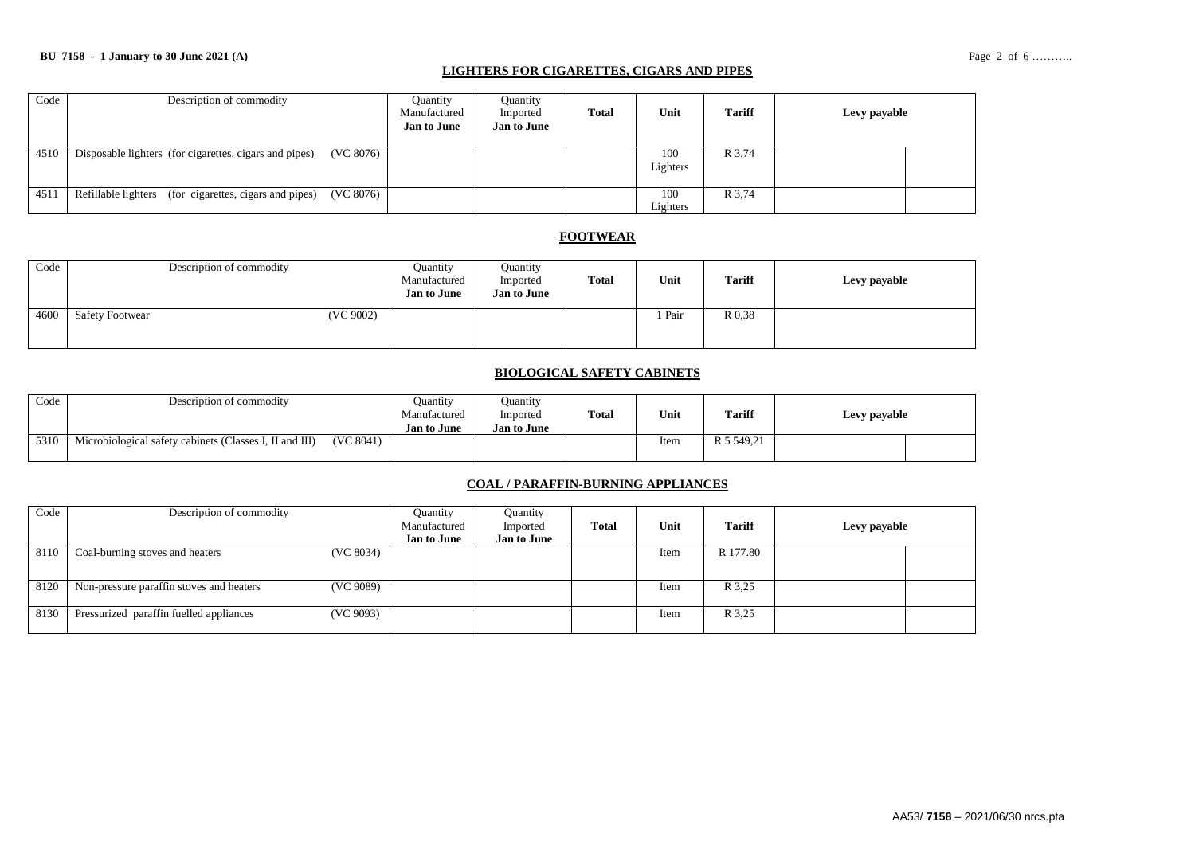### **LIGHTERS FOR CIGARETTES, CIGARS AND PIPES**

| Code | Description of commodity                                            | <b>Quantity</b><br>Manufactured<br><b>Jan to June</b> | Ouantity<br>Imported<br><b>Jan to June</b> | <b>Total</b> | Unit            | <b>Tariff</b> | Levy payable |  |
|------|---------------------------------------------------------------------|-------------------------------------------------------|--------------------------------------------|--------------|-----------------|---------------|--------------|--|
| 4510 | (VC 8076)<br>Disposable lighters (for cigarettes, cigars and pipes) |                                                       |                                            |              | 100<br>Lighters | R 3,74        |              |  |
| 4511 | (VC 8076)<br>Refillable lighters (for cigarettes, cigars and pipes) |                                                       |                                            |              | 100<br>Lighters | R 3,74        |              |  |

### **FOOTWEAR**

| Code |                        | Description of commodity | Ouantity<br>Manufactured<br><b>Jan to June</b> | Quantity<br>Imported<br><b>Jan to June</b> | <b>Total</b> | Unit | <b>Tariff</b> | Levy payable |
|------|------------------------|--------------------------|------------------------------------------------|--------------------------------------------|--------------|------|---------------|--------------|
| 4600 | <b>Safety Footwear</b> | (VC 9002)                |                                                |                                            |              | Pair | R 0.38        |              |

#### **BIOLOGICAL SAFETY CABINETS**

| Code | Description of commodity                                |           | Juantity<br>Manufactured<br><b>Jan to June</b> | Juantity<br>Imported<br><b>Jan to June</b> | Total | Unit | <b>Tariff</b> | Levy payable |  |
|------|---------------------------------------------------------|-----------|------------------------------------------------|--------------------------------------------|-------|------|---------------|--------------|--|
| 5310 | Microbiological safety cabinets (Classes I, II and III) | (VC 8041) |                                                |                                            |       | Item | R 5 549.21    |              |  |

### **COAL / PARAFFIN-BURNING APPLIANCES**

| Code | Description of commodity                 |           | Quantity<br>Manufactured<br><b>Jan to June</b> | Quantity<br>Imported<br><b>Jan to June</b> | <b>Total</b> | Unit | <b>Tariff</b> | Levy payable |  |
|------|------------------------------------------|-----------|------------------------------------------------|--------------------------------------------|--------------|------|---------------|--------------|--|
| 8110 | Coal-burning stoves and heaters          | (VC 8034) |                                                |                                            |              | Item | R 177.80      |              |  |
| 8120 | Non-pressure paraffin stoves and heaters | (VC 9089) |                                                |                                            |              | Item | R 3.25        |              |  |
| 8130 | Pressurized paraffin fuelled appliances  | (VC 9093) |                                                |                                            |              | Item | R 3.25        |              |  |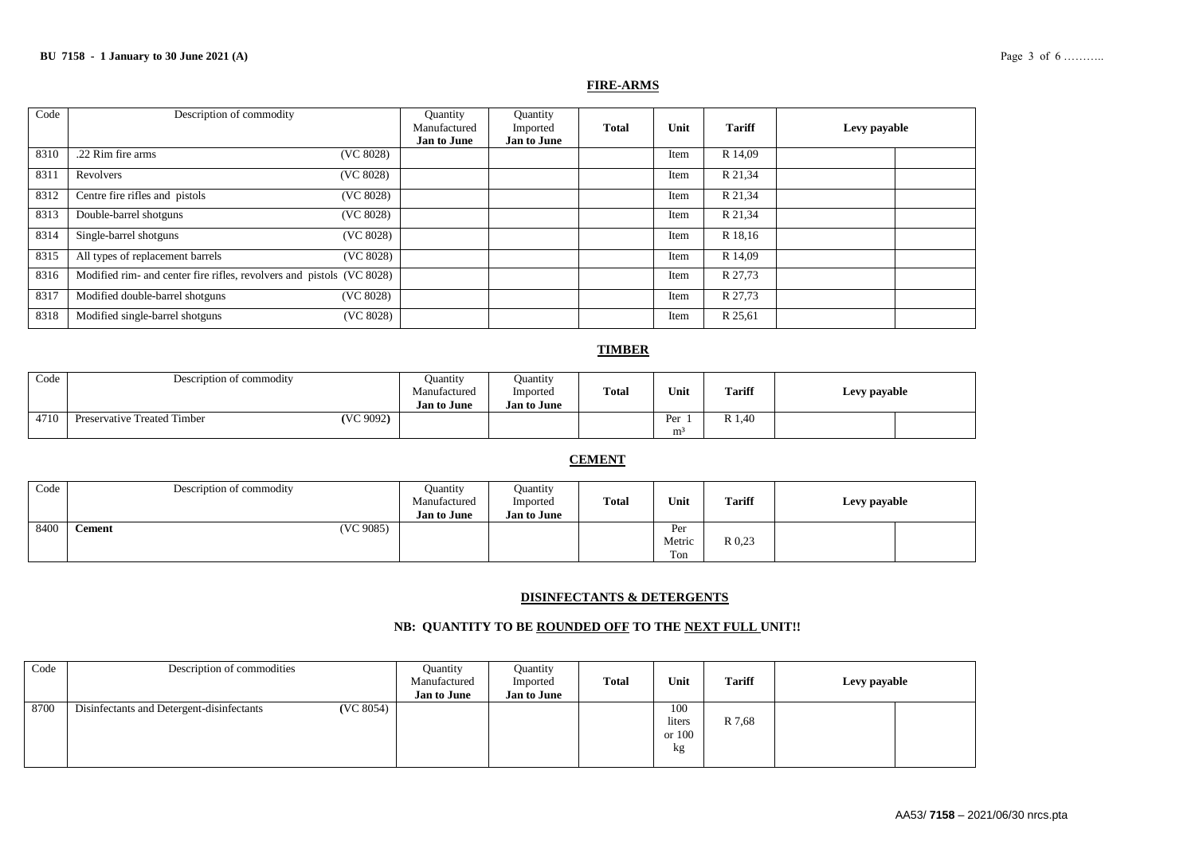#### **FIRE-ARMS**

| Code | Description of commodity                                              | Quantity<br>Manufactured | Quantity<br>Imported | <b>Total</b> | Unit | <b>Tariff</b> | Levy payable |
|------|-----------------------------------------------------------------------|--------------------------|----------------------|--------------|------|---------------|--------------|
|      |                                                                       | <b>Jan to June</b>       | <b>Jan to June</b>   |              |      |               |              |
| 8310 | (VC 8028)<br>.22 Rim fire arms                                        |                          |                      |              | Item | R 14,09       |              |
| 8311 | (VC 8028)<br>Revolvers                                                |                          |                      |              | Item | R 21,34       |              |
| 8312 | Centre fire rifles and pistols<br>(VC 8028)                           |                          |                      |              | Item | R 21,34       |              |
| 8313 | Double-barrel shotguns<br>(VC 8028)                                   |                          |                      |              | Item | R 21,34       |              |
| 8314 | Single-barrel shotguns<br>(VC 8028)                                   |                          |                      |              | Item | R 18,16       |              |
| 8315 | All types of replacement barrels<br>(VC 8028)                         |                          |                      |              | Item | R 14,09       |              |
| 8316 | Modified rim- and center fire rifles, revolvers and pistols (VC 8028) |                          |                      |              | Item | R 27,73       |              |
| 8317 | Modified double-barrel shotguns<br>(VC 8028)                          |                          |                      |              | Item | R 27,73       |              |
| 8318 | Modified single-barrel shotguns<br>(VC 8028)                          |                          |                      |              | Item | R 25,61       |              |

### **TIMBER**

| Code | Description of commodity    |           | Ouantity<br>Manufactured<br><b>Jan to June</b> | Juantity<br>Imported<br><b>Jan to June</b> | <b>Total</b> | Unit                  | <b>Tariff</b> | Levy payable |  |
|------|-----------------------------|-----------|------------------------------------------------|--------------------------------------------|--------------|-----------------------|---------------|--------------|--|
| 4710 | Preservative Treated Timber | (VC 9092) |                                                |                                            |              | Per<br>m <sup>3</sup> | R 1.40        |              |  |

## **CEMENT**

| Code | Description of commodity | <b>Quantity</b><br>Manufactured<br><b>Jan to June</b> | Quantity<br>Imported<br><b>Jan to June</b> | Total | Unit                 | <b>Tariff</b> | Levy payable |
|------|--------------------------|-------------------------------------------------------|--------------------------------------------|-------|----------------------|---------------|--------------|
| 8400 | (VC 9085)<br>Cement      |                                                       |                                            |       | Per<br>Metric<br>Ton | R 0.23        |              |

### **DISINFECTANTS & DETERGENTS**

### **NB: QUANTITY TO BE ROUNDED OFF TO THE NEXT FULL UNIT!!**

| Code | Description of commodities                |           | Ouantity<br>Manufactured<br><b>Jan to June</b> | Quantity<br>Imported<br><b>Jan to June</b> | <b>Total</b> | Unit                          | <b>Tariff</b> | Levy payable |  |
|------|-------------------------------------------|-----------|------------------------------------------------|--------------------------------------------|--------------|-------------------------------|---------------|--------------|--|
| 8700 | Disinfectants and Detergent-disinfectants | (VC 8054) |                                                |                                            |              | 100<br>liters<br>or 100<br>kg | R 7,68        |              |  |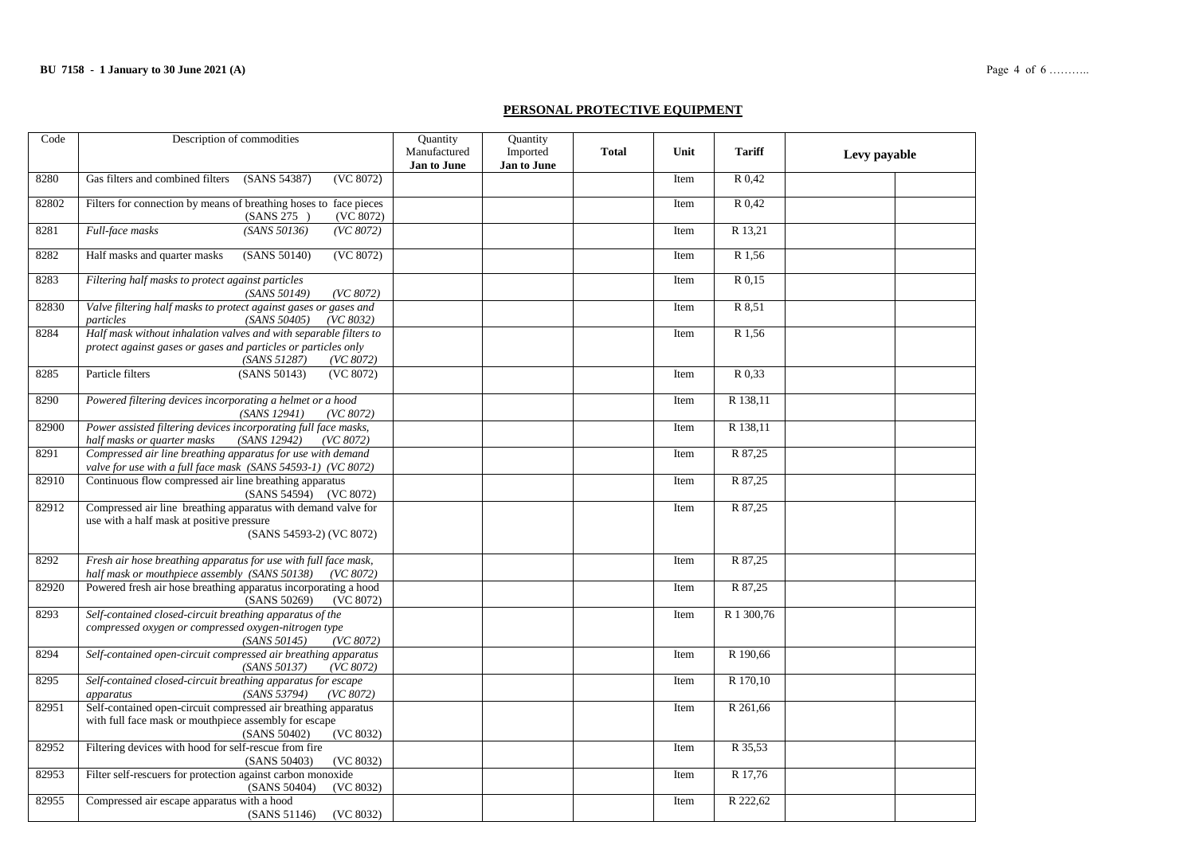### **PERSONAL PROTECTIVE EQUIPMENT**

| Code  | Description of commodities                                                                                                                                       | <b>Quantity</b><br>Manufactured<br>Jan to June | Quantity<br>Imported<br>Jan to June | <b>Total</b> | Unit | <b>Tariff</b>       | Levy payable |  |
|-------|------------------------------------------------------------------------------------------------------------------------------------------------------------------|------------------------------------------------|-------------------------------------|--------------|------|---------------------|--------------|--|
| 8280  | Gas filters and combined filters<br>(SANS 54387)<br>(VC 8072)                                                                                                    |                                                |                                     |              | Item | $R$ <sub>0.42</sub> |              |  |
| 82802 | Filters for connection by means of breathing hoses to face pieces<br>(SANS 275)<br>(VC 8072)                                                                     |                                                |                                     |              | Item | R 0,42              |              |  |
| 8281  | Full-face masks<br>(SANS 50136)<br>(VC 8072)                                                                                                                     |                                                |                                     |              | Item | R 13,21             |              |  |
| 8282  | Half masks and quarter masks<br>(VC 8072)<br>(SANS 50140)                                                                                                        |                                                |                                     |              | Item | R 1.56              |              |  |
| 8283  | Filtering half masks to protect against particles<br>(SANS 50149)<br>(VC 8072)                                                                                   |                                                |                                     |              | Item | R 0,15              |              |  |
| 82830 | Valve filtering half masks to protect against gases or gases and<br>particles<br>(SANS 50405)<br>(VC 8032)                                                       |                                                |                                     |              | Item | R 8,51              |              |  |
| 8284  | Half mask without inhalation valves and with separable filters to<br>protect against gases or gases and particles or particles only<br>(SANS 51287)<br>(VC 8072) |                                                |                                     |              | Item | R 1,56              |              |  |
| 8285  | Particle filters<br>(SANS 50143)<br>(VC 8072)                                                                                                                    |                                                |                                     |              | Item | R 0,33              |              |  |
| 8290  | Powered filtering devices incorporating a helmet or a hood<br>(SANS 12941)<br>(VC 8072)                                                                          |                                                |                                     |              | Item | R 138,11            |              |  |
| 82900 | Power assisted filtering devices incorporating full face masks,<br>half masks or quarter masks<br>(SANS 12942)<br>(VC 8072)                                      |                                                |                                     |              | Item | R 138,11            |              |  |
| 8291  | Compressed air line breathing apparatus for use with demand<br>valve for use with a full face mask (SANS 54593-1) (VC 8072)                                      |                                                |                                     |              | Item | R 87,25             |              |  |
| 82910 | Continuous flow compressed air line breathing apparatus<br>(SANS 54594) (VC 8072)                                                                                |                                                |                                     |              | Item | R 87,25             |              |  |
| 82912 | Compressed air line breathing apparatus with demand valve for<br>use with a half mask at positive pressure<br>(SANS 54593-2) (VC 8072)                           |                                                |                                     |              | Item | R 87,25             |              |  |
| 8292  | Fresh air hose breathing apparatus for use with full face mask,<br>half mask or mouthpiece assembly (SANS 50138)<br>(VC 8072)                                    |                                                |                                     |              | Item | R 87,25             |              |  |
| 82920 | Powered fresh air hose breathing apparatus incorporating a hood<br>(SANS 50269)<br>(VC 8072)                                                                     |                                                |                                     |              | Item | R 87,25             |              |  |
| 8293  | Self-contained closed-circuit breathing apparatus of the<br>compressed oxygen or compressed oxygen-nitrogen type<br>(SANS 50145)<br>(VC 8072)                    |                                                |                                     |              | Item | R 1 300,76          |              |  |
| 8294  | Self-contained open-circuit compressed air breathing apparatus<br>(SANS 50137)<br>(VC 8072)                                                                      |                                                |                                     |              | Item | R 190,66            |              |  |
| 8295  | Self-contained closed-circuit breathing apparatus for escape<br>(SANS 53794)<br>(VC 8072)<br>apparatus                                                           |                                                |                                     |              | Item | R 170,10            |              |  |
| 82951 | Self-contained open-circuit compressed air breathing apparatus<br>with full face mask or mouthpiece assembly for escape<br>(SANS 50402)<br>(VC 8032)             |                                                |                                     |              | Item | R 261,66            |              |  |
| 82952 | Filtering devices with hood for self-rescue from fire<br>(SANS 50403)<br>(VC 8032)                                                                               |                                                |                                     |              | Item | R 35,53             |              |  |
| 82953 | Filter self-rescuers for protection against carbon monoxide<br>(SANS 50404)<br>(VC 8032)                                                                         |                                                |                                     |              | Item | R 17,76             |              |  |
| 82955 | Compressed air escape apparatus with a hood<br>(SANS 51146)<br>(VC 8032)                                                                                         |                                                |                                     |              | Item | R 222,62            |              |  |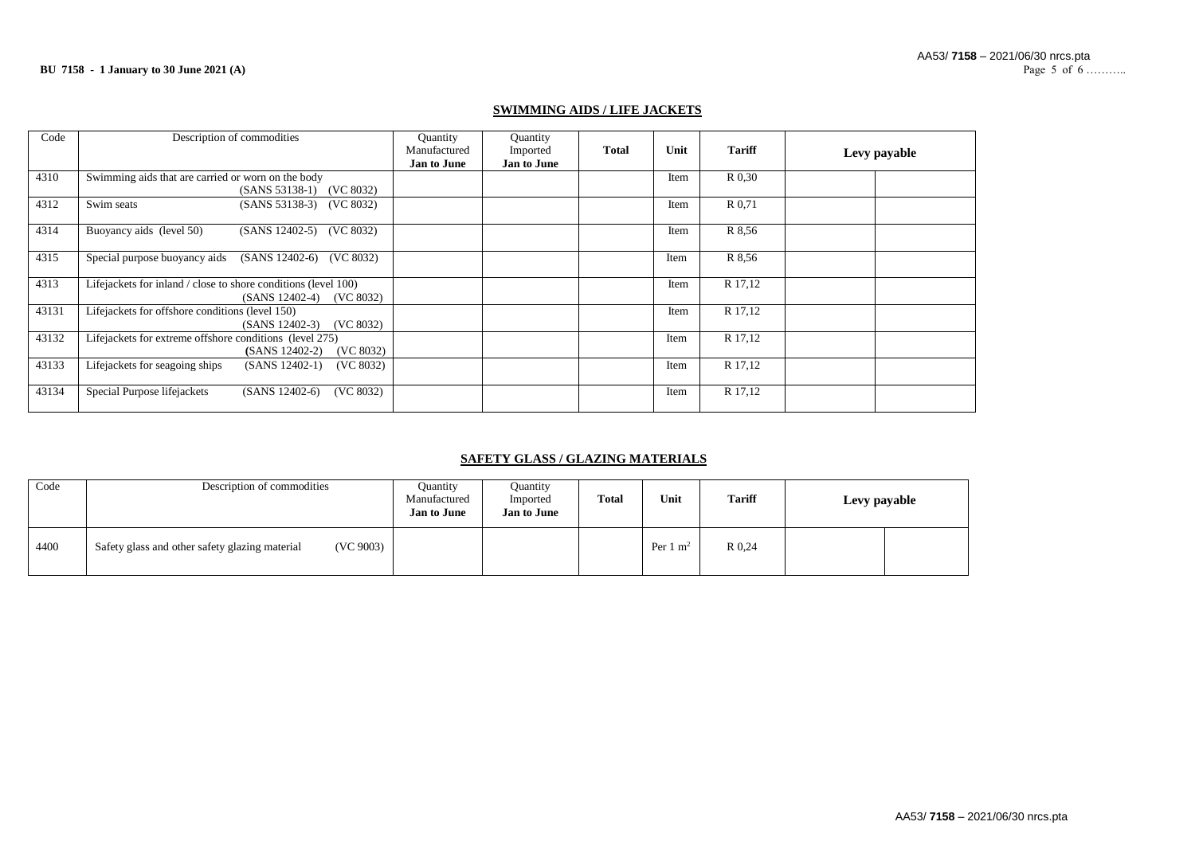### **SWIMMING AIDS / LIFE JACKETS**

| Code  | Description of commodities                                                                      | Quantity<br>Manufactured<br><b>Jan to June</b> | Quantity<br>Imported<br><b>Jan to June</b> | <b>Total</b> | Unit | <b>Tariff</b> | Levy payable |
|-------|-------------------------------------------------------------------------------------------------|------------------------------------------------|--------------------------------------------|--------------|------|---------------|--------------|
| 4310  | Swimming aids that are carried or worn on the body<br>(SANS 53138-1) (VC 8032)                  |                                                |                                            |              | Item | R 0.30        |              |
| 4312  | Swim seats<br>(SANS 53138-3) (VC 8032)                                                          |                                                |                                            |              | Item | R 0.71        |              |
| 4314  | Buoyancy aids (level 50)<br>(VC 8032)<br>$(SANS 12402-5)$                                       |                                                |                                            |              | Item | R 8.56        |              |
| 4315  | Special purpose buoyancy aids<br>(SANS 12402-6)<br>(VC 8032)                                    |                                                |                                            |              | Item | R 8.56        |              |
| 4313  | Lifejackets for inland / close to shore conditions (level 100)<br>$(SANS 12402-4)$<br>(VC 8032) |                                                |                                            |              | Item | R 17,12       |              |
| 43131 | Lifejackets for offshore conditions (level 150)<br>(VC 8032)<br>$(SANS 12402-3)$                |                                                |                                            |              | Item | R 17,12       |              |
| 43132 | Lifejackets for extreme offshore conditions (level 275)<br>$(SANS 12402-2)$<br>(VC 8032)        |                                                |                                            |              | Item | R 17,12       |              |
| 43133 | Lifejackets for seagoing ships<br>$(SANS 12402-1)$<br>(VC 8032)                                 |                                                |                                            |              | Item | R 17,12       |              |
| 43134 | Special Purpose lifejackets<br>$(SANS 12402-6)$<br>(VC 8032)                                    |                                                |                                            |              | Item | R 17,12       |              |

### **SAFETY GLASS / GLAZING MATERIALS**

| Code | Description of commodities                                  | <b>Quantity</b><br>Manufactured<br><b>Jan to June</b> | Quantity<br>Imported<br><b>Jan to June</b> | <b>Total</b> | Unit                | <b>Tariff</b> | Levy payable |  |
|------|-------------------------------------------------------------|-------------------------------------------------------|--------------------------------------------|--------------|---------------------|---------------|--------------|--|
| 4400 | (VC 9003)<br>Safety glass and other safety glazing material |                                                       |                                            |              | Per $1 \text{ m}^2$ | R 0.24        |              |  |